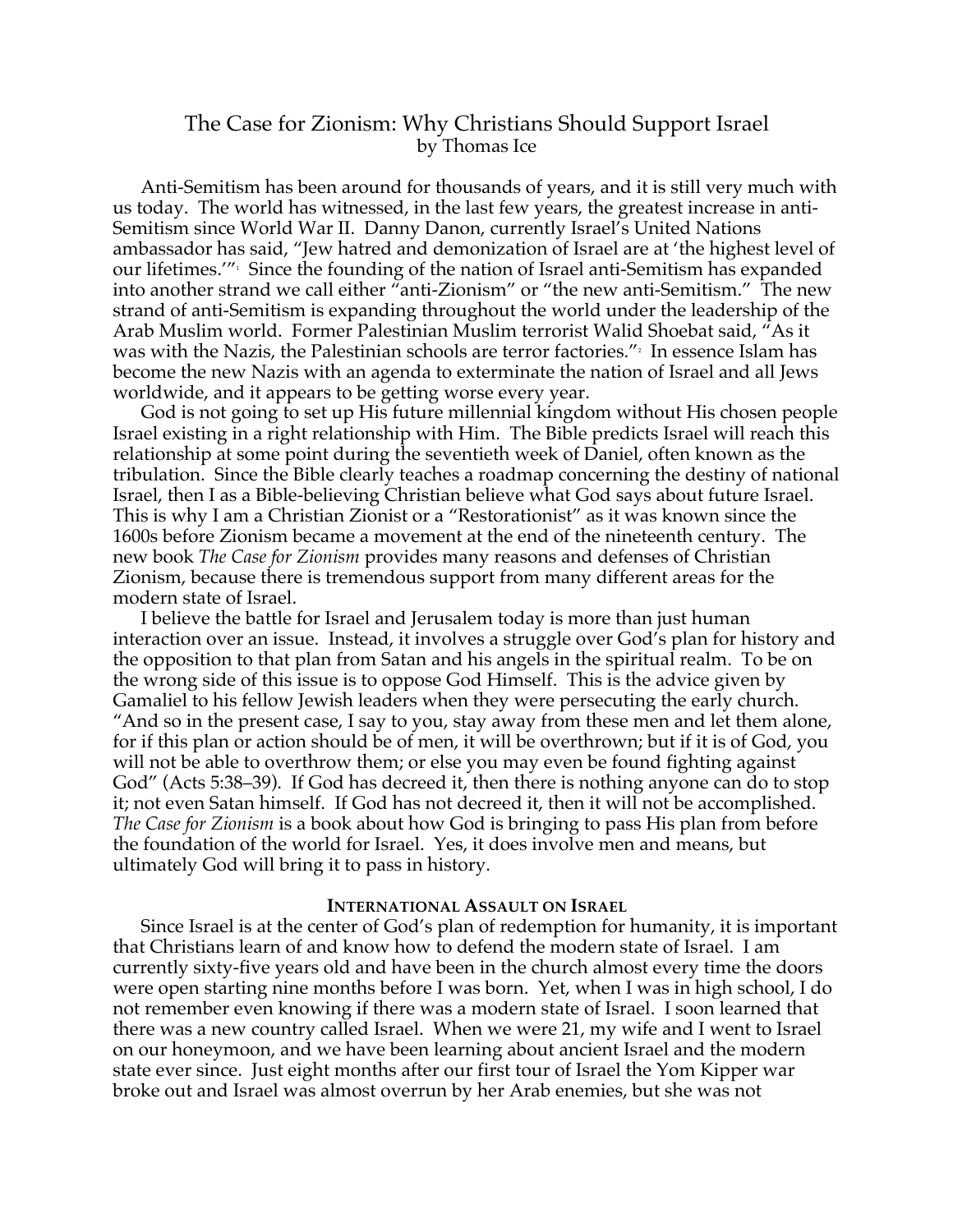## The Case for Zionism: Why Christians Should Support Israel by Thomas Ice

Anti-Semitism has been around for thousands of years, and it is still very much with us today. The world has witnessed, in the last few years, the greatest increase in anti-Semitism since World War II. Danny Danon, currently Israel's United Nations ambassador has said, "Jew hatred and demonization of Israel are at 'the highest level of our lifetimes.'"<sup>1</sup> Since the founding of the nation of Israel anti-Semitism has expanded into another strand we call either "anti-Zionism" or "the new anti-Semitism." The new strand of anti-Semitism is expanding throughout the world under the leadership of the Arab Muslim world. Former Palestinian Muslim terrorist Walid Shoebat said, "As it was with the Nazis, the Palestinian schools are terror factories."2 In essence Islam has become the new Nazis with an agenda to exterminate the nation of Israel and all Jews worldwide, and it appears to be getting worse every year.

God is not going to set up His future millennial kingdom without His chosen people Israel existing in a right relationship with Him. The Bible predicts Israel will reach this relationship at some point during the seventieth week of Daniel, often known as the tribulation. Since the Bible clearly teaches a roadmap concerning the destiny of national Israel, then I as a Bible-believing Christian believe what God says about future Israel. This is why I am a Christian Zionist or a "Restorationist" as it was known since the 1600s before Zionism became a movement at the end of the nineteenth century. The new book *The Case for Zionism* provides many reasons and defenses of Christian Zionism, because there is tremendous support from many different areas for the modern state of Israel.

I believe the battle for Israel and Jerusalem today is more than just human interaction over an issue. Instead, it involves a struggle over God's plan for history and the opposition to that plan from Satan and his angels in the spiritual realm. To be on the wrong side of this issue is to oppose God Himself. This is the advice given by Gamaliel to his fellow Jewish leaders when they were persecuting the early church. "And so in the present case, I say to you, stay away from these men and let them alone, for if this plan or action should be of men, it will be overthrown; but if it is of God, you will not be able to overthrow them; or else you may even be found fighting against God" (Acts 5:38–39). If God has decreed it, then there is nothing anyone can do to stop it; not even Satan himself. If God has not decreed it, then it will not be accomplished. *The Case for Zionism* is a book about how God is bringing to pass His plan from before the foundation of the world for Israel. Yes, it does involve men and means, but ultimately God will bring it to pass in history.

## **INTERNATIONAL ASSAULT ON ISRAEL**

Since Israel is at the center of God's plan of redemption for humanity, it is important that Christians learn of and know how to defend the modern state of Israel. I am currently sixty-five years old and have been in the church almost every time the doors were open starting nine months before I was born. Yet, when I was in high school, I do not remember even knowing if there was a modern state of Israel. I soon learned that there was a new country called Israel. When we were 21, my wife and I went to Israel on our honeymoon, and we have been learning about ancient Israel and the modern state ever since. Just eight months after our first tour of Israel the Yom Kipper war broke out and Israel was almost overrun by her Arab enemies, but she was not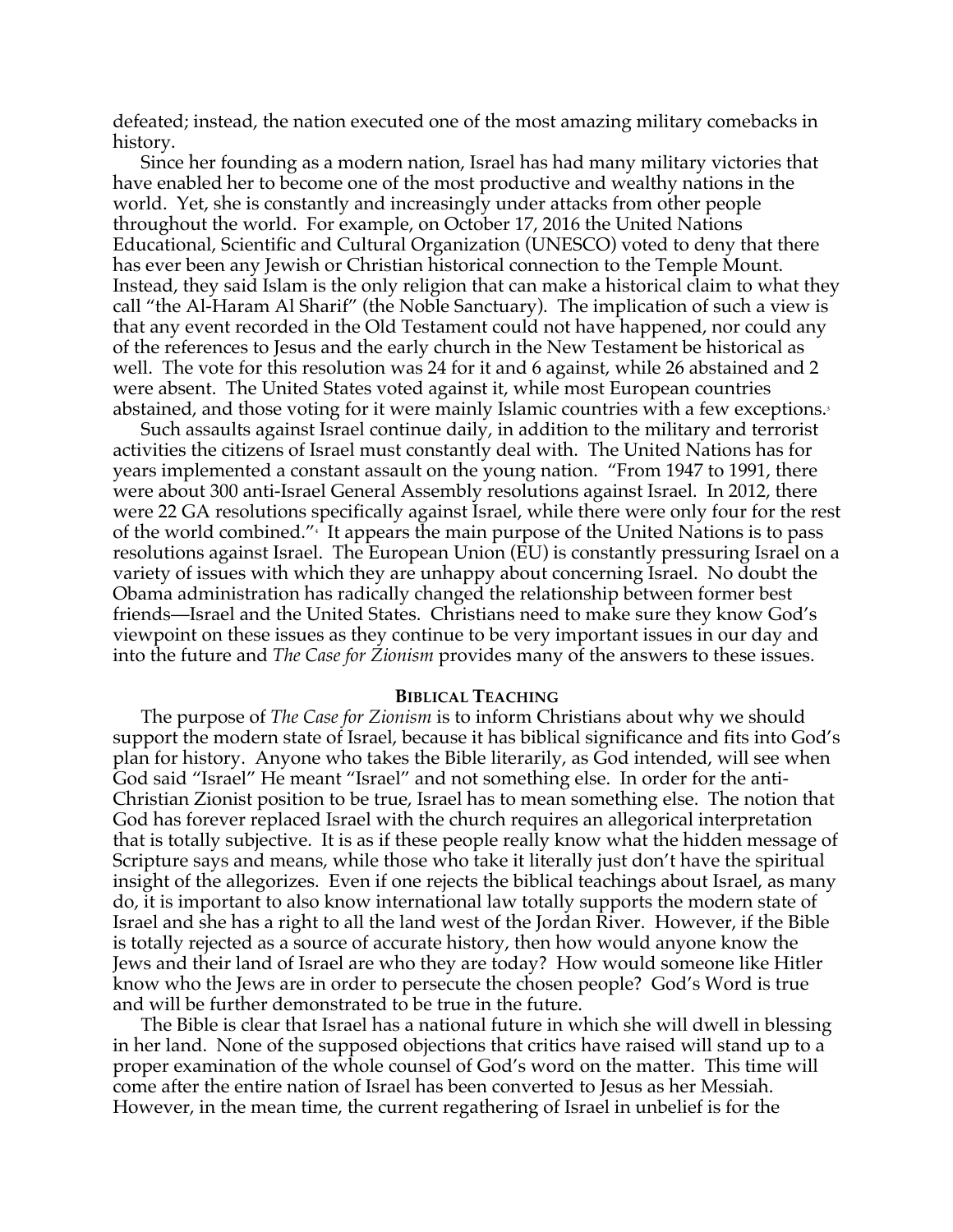defeated; instead, the nation executed one of the most amazing military comebacks in history.

Since her founding as a modern nation, Israel has had many military victories that have enabled her to become one of the most productive and wealthy nations in the world. Yet, she is constantly and increasingly under attacks from other people throughout the world. For example, on October 17, 2016 the United Nations Educational, Scientific and Cultural Organization (UNESCO) voted to deny that there has ever been any Jewish or Christian historical connection to the Temple Mount. Instead, they said Islam is the only religion that can make a historical claim to what they call "the Al-Haram Al Sharif" (the Noble Sanctuary). The implication of such a view is that any event recorded in the Old Testament could not have happened, nor could any of the references to Jesus and the early church in the New Testament be historical as well. The vote for this resolution was 24 for it and 6 against, while 26 abstained and 2 were absent. The United States voted against it, while most European countries abstained, and those voting for it were mainly Islamic countries with a few exceptions.<sup>3</sup>

Such assaults against Israel continue daily, in addition to the military and terrorist activities the citizens of Israel must constantly deal with. The United Nations has for years implemented a constant assault on the young nation. "From 1947 to 1991, there were about 300 anti-Israel General Assembly resolutions against Israel. In 2012, there were 22 GA resolutions specifically against Israel, while there were only four for the rest of the world combined."4 It appears the main purpose of the United Nations is to pass resolutions against Israel. The European Union (EU) is constantly pressuring Israel on a variety of issues with which they are unhappy about concerning Israel. No doubt the Obama administration has radically changed the relationship between former best friends—Israel and the United States. Christians need to make sure they know God's viewpoint on these issues as they continue to be very important issues in our day and into the future and *The Case for Zionism* provides many of the answers to these issues.

## **BIBLICAL TEACHING**

The purpose of *The Case for Zionism* is to inform Christians about why we should support the modern state of Israel, because it has biblical significance and fits into God's plan for history. Anyone who takes the Bible literarily, as God intended, will see when God said "Israel" He meant "Israel" and not something else. In order for the anti-Christian Zionist position to be true, Israel has to mean something else. The notion that God has forever replaced Israel with the church requires an allegorical interpretation that is totally subjective. It is as if these people really know what the hidden message of Scripture says and means, while those who take it literally just don't have the spiritual insight of the allegorizes. Even if one rejects the biblical teachings about Israel, as many do, it is important to also know international law totally supports the modern state of Israel and she has a right to all the land west of the Jordan River. However, if the Bible is totally rejected as a source of accurate history, then how would anyone know the Jews and their land of Israel are who they are today? How would someone like Hitler know who the Jews are in order to persecute the chosen people? God's Word is true and will be further demonstrated to be true in the future.

The Bible is clear that Israel has a national future in which she will dwell in blessing in her land. None of the supposed objections that critics have raised will stand up to a proper examination of the whole counsel of God's word on the matter. This time will come after the entire nation of Israel has been converted to Jesus as her Messiah. However, in the mean time, the current regathering of Israel in unbelief is for the